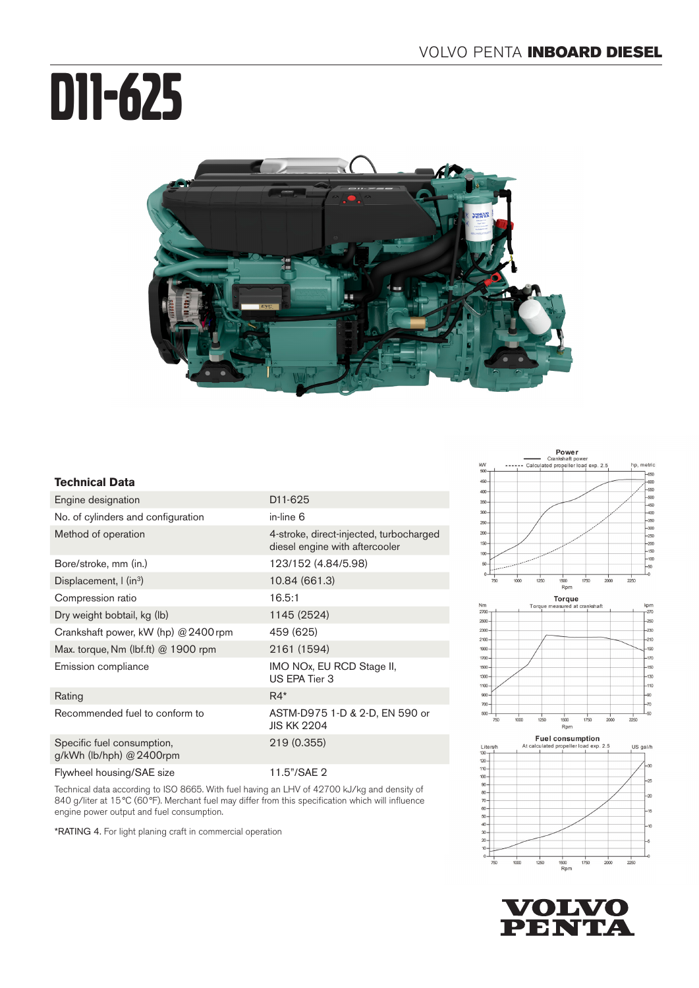# D11-625



## **Technical Data**

| Engine designation                                     | D <sub>11</sub> -625                                                      |
|--------------------------------------------------------|---------------------------------------------------------------------------|
| No. of cylinders and configuration                     | in-line 6                                                                 |
| Method of operation                                    | 4-stroke, direct-injected, turbocharged<br>diesel engine with aftercooler |
| Bore/stroke, mm (in.)                                  | 123/152 (4.84/5.98)                                                       |
| Displacement, I (in <sup>3</sup> )                     | 10.84 (661.3)                                                             |
| Compression ratio                                      | 16.5:1                                                                    |
| Dry weight bobtail, kg (lb)                            | 1145 (2524)                                                               |
| Crankshaft power, kW (hp) @ 2400 rpm                   | 459 (625)                                                                 |
| Max. torque, Nm (lbf.ft) $@$ 1900 rpm                  | 2161 (1594)                                                               |
| Emission compliance                                    | IMO NOx, EU RCD Stage II,<br>US EPA Tier 3                                |
| Rating                                                 | $R4*$                                                                     |
| Recommended fuel to conform to                         | ASTM-D975 1-D & 2-D, EN 590 or<br><b>JIS KK 2204</b>                      |
| Specific fuel consumption,<br>g/kWh (lb/hph) @ 2400rpm | 219 (0.355)                                                               |
| Flywheel housing/SAE size                              | 11.5"/SAE 2                                                               |

Technical data according to ISO 8665. With fuel having an LHV of 42700 kJ/kg and density of 840 g/liter at 15°C (60°F). Merchant fuel may differ from this specification which will influence engine power output and fuel consumption.

\*RATING 4. For light planing craft in commercial operation